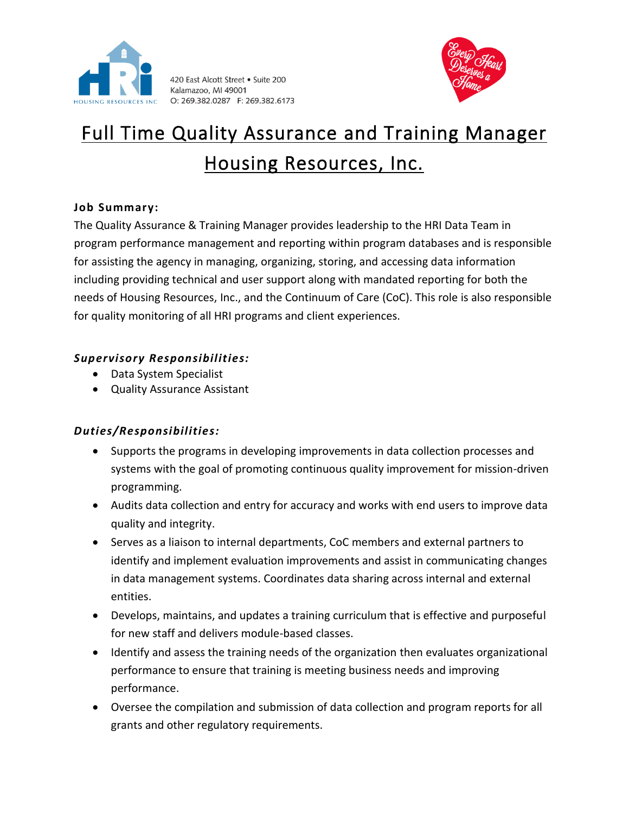

420 East Alcott Street . Suite 200 Kalamazoo, MI 49001 O: 269.382.0287 F: 269.382.6173



# Full Time Quality Assurance and Training Manager Housing Resources, Inc.

## **Job Summary:**

The Quality Assurance & Training Manager provides leadership to the HRI Data Team in program performance management and reporting within program databases and is responsible for assisting the agency in managing, organizing, storing, and accessing data information including providing technical and user support along with mandated reporting for both the needs of Housing Resources, Inc., and the Continuum of Care (CoC). This role is also responsible for quality monitoring of all HRI programs and client experiences.

# *Supervisory Responsibilities:*

- Data System Specialist
- Quality Assurance Assistant

# *Duties/Responsibilities:*

- Supports the programs in developing improvements in data collection processes and systems with the goal of promoting continuous quality improvement for mission-driven programming.
- Audits data collection and entry for accuracy and works with end users to improve data quality and integrity.
- Serves as a liaison to internal departments, CoC members and external partners to identify and implement evaluation improvements and assist in communicating changes in data management systems. Coordinates data sharing across internal and external entities.
- Develops, maintains, and updates a training curriculum that is effective and purposeful for new staff and delivers module-based classes.
- Identify and assess the training needs of the organization then evaluates organizational performance to ensure that training is meeting business needs and improving performance.
- Oversee the compilation and submission of data collection and program reports for all grants and other regulatory requirements.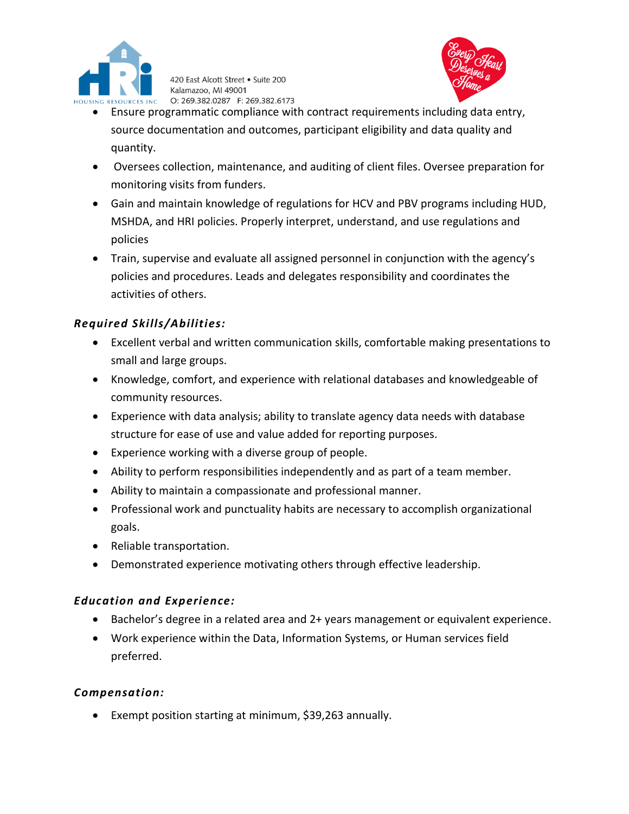

420 East Alcott Street . Suite 200 Kalamazoo, MI 49001 O: 269.382.0287 F: 269.382.6173



- Ensure programmatic compliance with contract requirements including data entry, source documentation and outcomes, participant eligibility and data quality and quantity.
- Oversees collection, maintenance, and auditing of client files. Oversee preparation for monitoring visits from funders.
- Gain and maintain knowledge of regulations for HCV and PBV programs including HUD, MSHDA, and HRI policies. Properly interpret, understand, and use regulations and policies
- Train, supervise and evaluate all assigned personnel in conjunction with the agency's policies and procedures. Leads and delegates responsibility and coordinates the activities of others.

## *Required Skills/Abilities:*

- Excellent verbal and written communication skills, comfortable making presentations to small and large groups.
- Knowledge, comfort, and experience with relational databases and knowledgeable of community resources.
- Experience with data analysis; ability to translate agency data needs with database structure for ease of use and value added for reporting purposes.
- Experience working with a diverse group of people.
- Ability to perform responsibilities independently and as part of a team member.
- Ability to maintain a compassionate and professional manner.
- Professional work and punctuality habits are necessary to accomplish organizational goals.
- Reliable transportation.
- Demonstrated experience motivating others through effective leadership.

#### *Education and Experience:*

- Bachelor's degree in a related area and 2+ years management or equivalent experience.
- Work experience within the Data, Information Systems, or Human services field preferred.

#### *Compensation:*

• Exempt position starting at minimum, \$39,263 annually.